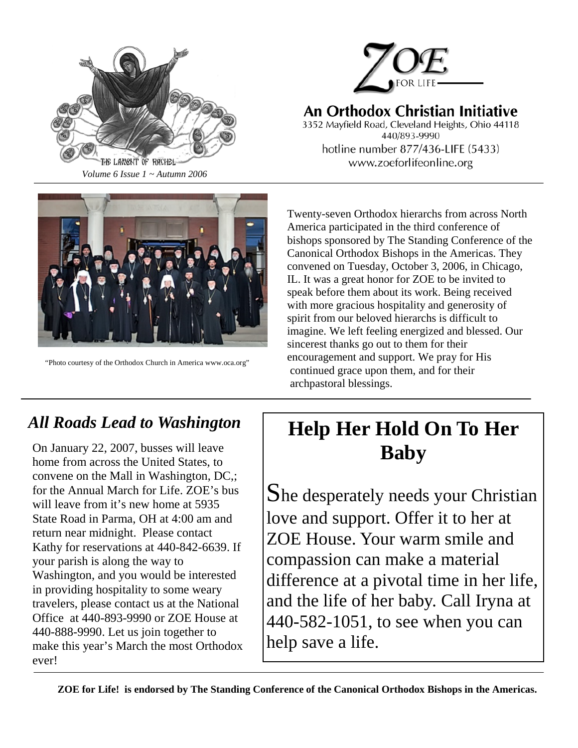

# An Orthodox Christian Initiative

3352 Mayfield Road, Cleveland Heights, Ohio 44118 440/893-9990 hotline number 877/436-LIFE (5433) www.zoeforlifeonline.org



"Photo courtesy of the Orthodox Church in America www.oca.org"

Twenty-seven Orthodox hierarchs from across North America participated in the third conference of bishops sponsored by The Standing Conference of the Canonical Orthodox Bishops in the Americas. They convened on Tuesday, October 3, 2006, in Chicago, IL. It was a great honor for ZOE to be invited to speak before them about its work. Being received with more gracious hospitality and generosity of spirit from our beloved hierarchs is difficult to imagine. We left feeling energized and blessed. Our sincerest thanks go out to them for their encouragement and support. We pray for His continued grace upon them, and for their archpastoral blessings.

# *All Roads Lead to Washington*

On January 22, 2007, busses will leave home from across the United States, to convene on the Mall in Washington, DC,; for the Annual March for Life. ZOE's bus will leave from it's new home at 5935 State Road in Parma, OH at 4:00 am and return near midnight. Please contact Kathy for reservations at 440-842-6639. If your parish is along the way to Washington, and you would be interested in providing hospitality to some weary travelers, please contact us at the National Office at 440-893-9990 or ZOE House at 440-888-9990. Let us join together to make this year's March the most Orthodox ever!

# **Help Her Hold On To Her Baby**

She desperately needs your Christian love and support. Offer it to her at ZOE House. Your warm smile and compassion can make a material difference at a pivotal time in her life, and the life of her baby. Call Iryna at 440-582-1051, to see when you can help save a life.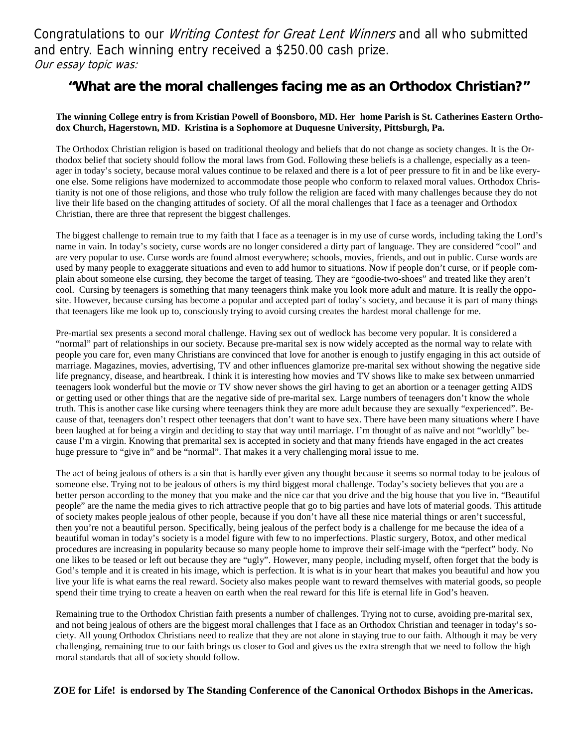Congratulations to our Writing Contest for Great Lent Winners and all who submitted and entry. Each winning entry received a \$250.00 cash prize. Our essay topic was:

### **"What are the moral challenges facing me as an Orthodox Christian?"**

#### **The winning College entry is from Kristian Powell of Boonsboro, MD. Her home Parish is St. Catherines Eastern Orthodox Church, Hagerstown, MD. Kristina is a Sophomore at Duquesne University, Pittsburgh, Pa.**

The Orthodox Christian religion is based on traditional theology and beliefs that do not change as society changes. It is the Orthodox belief that society should follow the moral laws from God. Following these beliefs is a challenge, especially as a teenager in today's society, because moral values continue to be relaxed and there is a lot of peer pressure to fit in and be like everyone else. Some religions have modernized to accommodate those people who conform to relaxed moral values. Orthodox Christianity is not one of those religions, and those who truly follow the religion are faced with many challenges because they do not live their life based on the changing attitudes of society. Of all the moral challenges that I face as a teenager and Orthodox Christian, there are three that represent the biggest challenges.

The biggest challenge to remain true to my faith that I face as a teenager is in my use of curse words, including taking the Lord's name in vain. In today's society, curse words are no longer considered a dirty part of language. They are considered "cool" and are very popular to use. Curse words are found almost everywhere; schools, movies, friends, and out in public. Curse words are used by many people to exaggerate situations and even to add humor to situations. Now if people don't curse, or if people complain about someone else cursing, they become the target of teasing. They are "goodie-two-shoes" and treated like they aren't cool. Cursing by teenagers is something that many teenagers think make you look more adult and mature. It is really the opposite. However, because cursing has become a popular and accepted part of today's society, and because it is part of many things that teenagers like me look up to, consciously trying to avoid cursing creates the hardest moral challenge for me.

Pre-martial sex presents a second moral challenge. Having sex out of wedlock has become very popular. It is considered a "normal" part of relationships in our society. Because pre-marital sex is now widely accepted as the normal way to relate with people you care for, even many Christians are convinced that love for another is enough to justify engaging in this act outside of marriage. Magazines, movies, advertising, TV and other influences glamorize pre-marital sex without showing the negative side life pregnancy, disease, and heartbreak. I think it is interesting how movies and TV shows like to make sex between unmarried teenagers look wonderful but the movie or TV show never shows the girl having to get an abortion or a teenager getting AIDS or getting used or other things that are the negative side of pre-marital sex. Large numbers of teenagers don't know the whole truth. This is another case like cursing where teenagers think they are more adult because they are sexually "experienced". Because of that, teenagers don't respect other teenagers that don't want to have sex. There have been many situations where I have been laughed at for being a virgin and deciding to stay that way until marriage. I'm thought of as naïve and not "worldly" because I'm a virgin. Knowing that premarital sex is accepted in society and that many friends have engaged in the act creates huge pressure to "give in" and be "normal". That makes it a very challenging moral issue to me.

The act of being jealous of others is a sin that is hardly ever given any thought because it seems so normal today to be jealous of someone else. Trying not to be jealous of others is my third biggest moral challenge. Today's society believes that you are a better person according to the money that you make and the nice car that you drive and the big house that you live in. "Beautiful people" are the name the media gives to rich attractive people that go to big parties and have lots of material goods. This attitude of society makes people jealous of other people, because if you don't have all these nice material things or aren't successful, then you're not a beautiful person. Specifically, being jealous of the perfect body is a challenge for me because the idea of a beautiful woman in today's society is a model figure with few to no imperfections. Plastic surgery, Botox, and other medical procedures are increasing in popularity because so many people home to improve their self-image with the "perfect" body. No one likes to be teased or left out because they are "ugly". However, many people, including myself, often forget that the body is God's temple and it is created in his image, which is perfection. It is what is in your heart that makes you beautiful and how you live your life is what earns the real reward. Society also makes people want to reward themselves with material goods, so people spend their time trying to create a heaven on earth when the real reward for this life is eternal life in God's heaven.

Remaining true to the Orthodox Christian faith presents a number of challenges. Trying not to curse, avoiding pre-marital sex, and not being jealous of others are the biggest moral challenges that I face as an Orthodox Christian and teenager in today's society. All young Orthodox Christians need to realize that they are not alone in staying true to our faith. Although it may be very challenging, remaining true to our faith brings us closer to God and gives us the extra strength that we need to follow the high moral standards that all of society should follow.

**ZOE for Life! is endorsed by The Standing Conference of the Canonical Orthodox Bishops in the Americas.**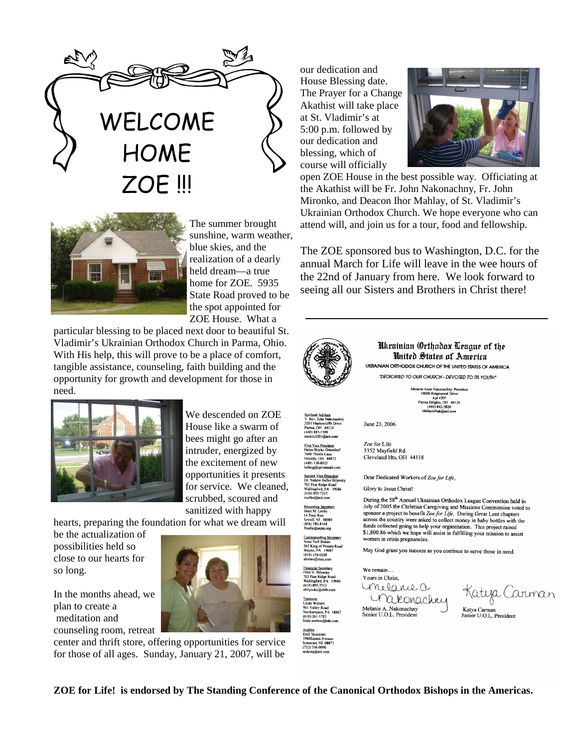



The summer brought sunshine, warm weather, blue skies, and the realization of a dearly held dream—a true home for ZOE. 5935 State Road proved to be the spot appointed for ZOE House. What a

particular blessing to be placed next door to beautiful St. Vladimir's Ukrainian Orthodox Church in Parma, Ohio. With His help, this will prove to be a place of comfort, tangible assistance, counseling, faith building and the opportunity for growth and development for those in need.



We descended on ZOE House like a swarm of bees might go after an intruder, energized by the excitement of new opportunities it presents for service. We cleaned, scrubbed, scoured and sanitized with happy

hearts, preparing the foundation for what we dream will

be the actualization of possibilities held so close to our hearts for so long.

In the months ahead, we plan to create a meditation and counseling room, retreat

center and thrift store, offering opportunities for service for those of all ages. Sunday, January 21, 2007, will be

our dedication and House Blessing date. The Prayer for a Change Akathist will take place at St. Vladimir's at 5:00 p.m. followed by our dedication and blessing, which of course will officially



open ZOE House in the best possible way. Officiating at the Akathist will be Fr. John Nakonachny, Fr. John Mironko, and Deacon Ihor Mahlay, of St. Vladimir's Ukrainian Orthodox Church. We hope everyone who can attend will, and join us for a tour, food and fellowship.

The ZOE sponsored bus to Washington, D.C. for the annual March for Life will leave in the wee hours of the 22nd of January from here. We look forward to seeing all our Sisters and Brothers in Christ there!



**ZOE for Life! is endorsed by The Standing Conference of the Canonical Orthodox Bishops in the Americas.** 

1960Easton Avenue<br>Somerset, NJ 08873<br>(732) 356-0090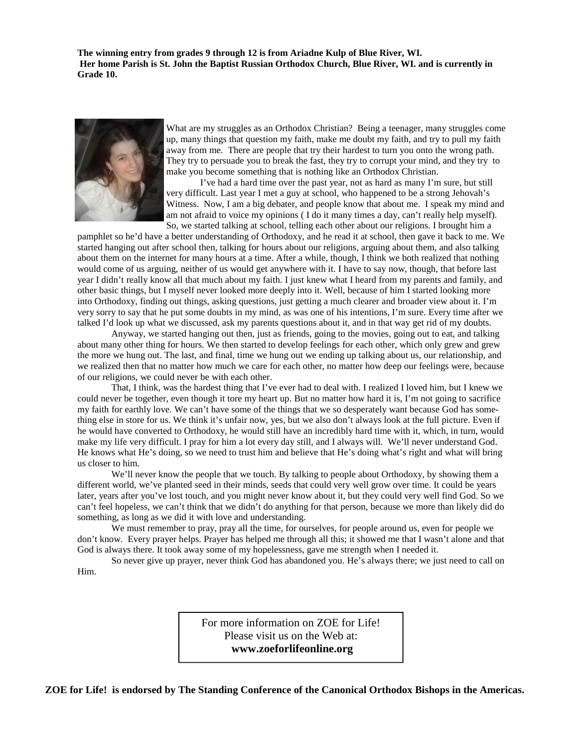**The winning entry from grades 9 through 12 is from Ariadne Kulp of Blue River, WI. Her home Parish is St. John the Baptist Russian Orthodox Church, Blue River, WI. and is currently in Grade 10.** 



What are my struggles as an Orthodox Christian? Being a teenager, many struggles come up, many things that question my faith, make me doubt my faith, and try to pull my faith away from me. There are people that try their hardest to turn you onto the wrong path. They try to persuade you to break the fast, they try to corrupt your mind, and they try to make you become something that is nothing like an Orthodox Christian.

 I've had a hard time over the past year, not as hard as many I'm sure, but still very difficult. Last year I met a guy at school, who happened to be a strong Jehovah's Witness. Now, I am a big debater, and people know that about me. I speak my mind and am not afraid to voice my opinions ( I do it many times a day, can't really help myself). So, we started talking at school, telling each other about our religions. I brought him a

pamphlet so he'd have a better understanding of Orthodoxy, and he read it at school, then gave it back to me. We started hanging out after school then, talking for hours about our religions, arguing about them, and also talking about them on the internet for many hours at a time. After a while, though, I think we both realized that nothing would come of us arguing, neither of us would get anywhere with it. I have to say now, though, that before last year I didn't really know all that much about my faith. I just knew what I heard from my parents and family, and other basic things, but I myself never looked more deeply into it. Well, because of him I started looking more into Orthodoxy, finding out things, asking questions, just getting a much clearer and broader view about it. I'm very sorry to say that he put some doubts in my mind, as was one of his intentions, I'm sure. Every time after we talked I'd look up what we discussed, ask my parents questions about it, and in that way get rid of my doubts.

 Anyway, we started hanging out then, just as friends, going to the movies, going out to eat, and talking about many other thing for hours. We then started to develop feelings for each other, which only grew and grew the more we hung out. The last, and final, time we hung out we ending up talking about us, our relationship, and we realized then that no matter how much we care for each other, no matter how deep our feelings were, because of our religions, we could never be with each other.

 That, I think, was the hardest thing that I've ever had to deal with. I realized I loved him, but I knew we could never be together, even though it tore my heart up. But no matter how hard it is, I'm not going to sacrifice my faith for earthly love. We can't have some of the things that we so desperately want because God has something else in store for us. We think it's unfair now, yes, but we also don't always look at the full picture. Even if he would have converted to Orthodoxy, he would still have an incredibly hard time with it, which, in turn, would make my life very difficult. I pray for him a lot every day still, and I always will. We'll never understand God. He knows what He's doing, so we need to trust him and believe that He's doing what's right and what will bring us closer to him.

We'll never know the people that we touch. By talking to people about Orthodoxy, by showing them a different world, we've planted seed in their minds, seeds that could very well grow over time. It could be years later, years after you've lost touch, and you might never know about it, but they could very well find God. So we can't feel hopeless, we can't think that we didn't do anything for that person, because we more than likely did do something, as long as we did it with love and understanding.

We must remember to pray, pray all the time, for ourselves, for people around us, even for people we don't know. Every prayer helps. Prayer has helped me through all this; it showed me that I wasn't alone and that God is always there. It took away some of my hopelessness, gave me strength when I needed it.

 So never give up prayer, never think God has abandoned you. He's always there; we just need to call on Him.

> For more information on ZOE for Life! Please visit us on the Web at:  **www.zoeforlifeonline.org**

**ZOE for Life! is endorsed by The Standing Conference of the Canonical Orthodox Bishops in the Americas.**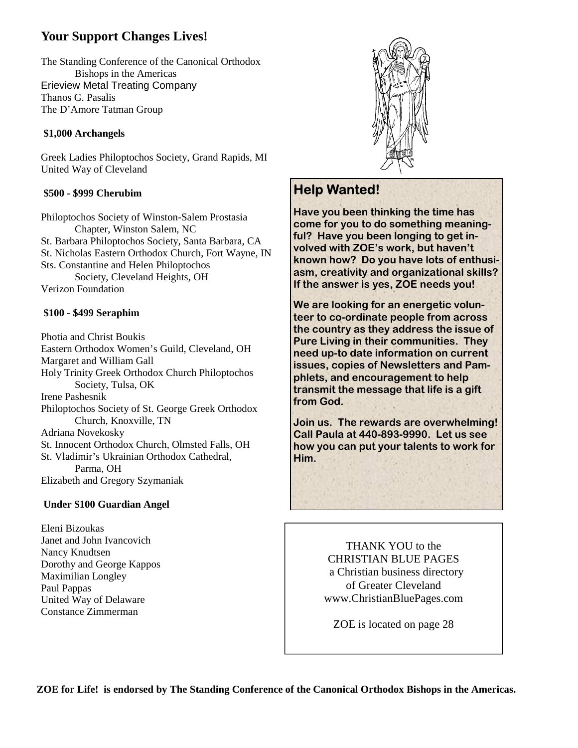## **Your Support Changes Lives!**

The Standing Conference of the Canonical Orthodox Bishops in the Americas Erieview Metal Treating Company Thanos G. Pasalis The D'Amore Tatman Group

#### **\$1,000 Archangels**

Greek Ladies Philoptochos Society, Grand Rapids, MI United Way of Cleveland

#### **\$500 - \$999 Cherubim**

Philoptochos Society of Winston-Salem Prostasia Chapter, Winston Salem, NC St. Barbara Philoptochos Society, Santa Barbara, CA St. Nicholas Eastern Orthodox Church, Fort Wayne, IN Sts. Constantine and Helen Philoptochos Society, Cleveland Heights, OH Verizon Foundation

#### **\$100 - \$499 Seraphim**

Photia and Christ Boukis Eastern Orthodox Women's Guild, Cleveland, OH Margaret and William Gall Holy Trinity Greek Orthodox Church Philoptochos Society, Tulsa, OK Irene Pashesnik Philoptochos Society of St. George Greek Orthodox Church, Knoxville, TN Adriana Novekosky St. Innocent Orthodox Church, Olmsted Falls, OH St. Vladimir's Ukrainian Orthodox Cathedral, Parma, OH Elizabeth and Gregory Szymaniak

#### **Under \$100 Guardian Angel**

Eleni Bizoukas Janet and John Ivancovich Nancy Knudtsen Dorothy and George Kappos Maximilian Longley Paul Pappas United Way of Delaware Constance Zimmerman



## **Help Wanted!**

**Have you been thinking the time has come for you to do something meaningful? Have you been longing to get involved with ZOE's work, but haven't known how? Do you have lots of enthusiasm, creativity and organizational skills? If the answer is yes, ZOE needs you!** 

**We are looking for an energetic volunteer to co-ordinate people from across the country as they address the issue of Pure Living in their communities. They need up-to date information on current issues, copies of Newsletters and Pamphlets, and encouragement to help transmit the message that life is a gift from God.** 

**Join us. The rewards are overwhelming! Call Paula at 440-893-9990. Let us see how you can put your talents to work for Him.**

> THANK YOU to the CHRISTIAN BLUE PAGES a Christian business directory of Greater Cleveland www.ChristianBluePages.com

ZOE is located on page 28